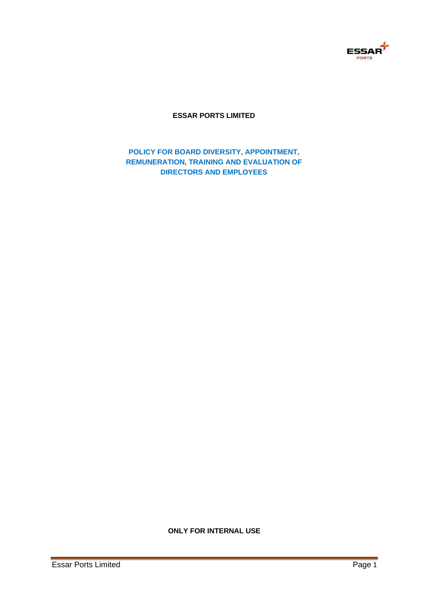

# **ESSAR PORTS LIMITED**

**POLICY FOR BOARD DIVERSITY, APPOINTMENT, REMUNERATION, TRAINING AND EVALUATION OF DIRECTORS AND EMPLOYEES** 

**ONLY FOR INTERNAL USE**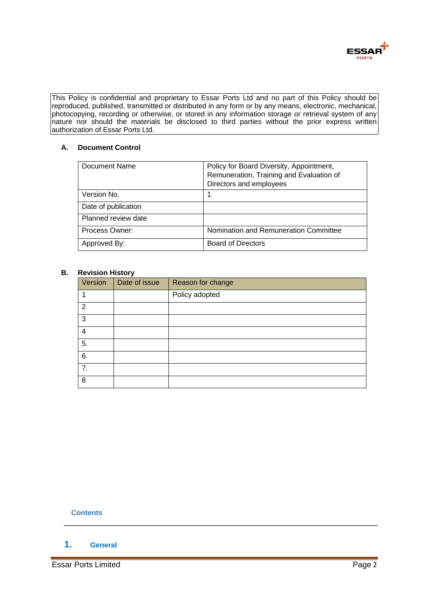

This Policy is confidential and proprietary to Essar Ports Ltd and no part of this Policy should be reproduced, published, transmitted or distributed in any form or by any means, electronic, mechanical, photocopying, recording or otherwise, or stored in any information storage or retrieval system of any nature nor should the materials be disclosed to third parties without the prior express written authorization of Essar Ports Ltd.

# **A. Document Control**

| Document Name       | Policy for Board Diversity, Appointment,<br>Remuneration, Training and Evaluation of<br>Directors and employees |
|---------------------|-----------------------------------------------------------------------------------------------------------------|
| Version No.         |                                                                                                                 |
| Date of publication |                                                                                                                 |
| Planned review date |                                                                                                                 |
| Process Owner:      | Nomination and Remuneration Committee                                                                           |
| Approved By:        | <b>Board of Directors</b>                                                                                       |

# **B. Revision History**

| Version        | Date of issue | Reason for change |
|----------------|---------------|-------------------|
|                |               | Policy adopted    |
| $\overline{2}$ |               |                   |
| 3              |               |                   |
| 4              |               |                   |
| 5.             |               |                   |
| 6.             |               |                   |
| 7.             |               |                   |
| 8              |               |                   |

#### **Contents**

**1. General**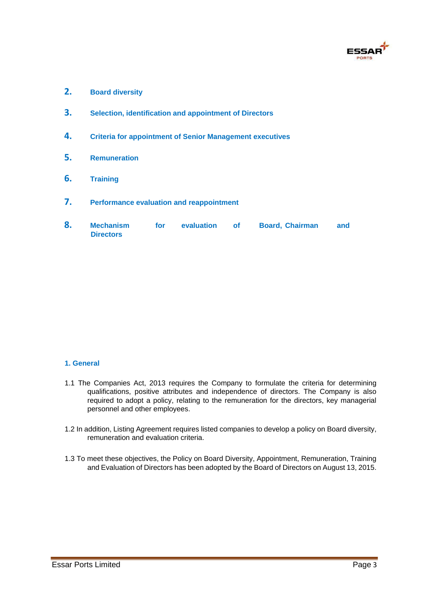

- **2. Board diversity**
- **3. Selection, identification and appointment of Directors**
- **4. Criteria for appointment of Senior Management executives**
- **5. Remuneration**
- **6. Training**
- **7. Performance evaluation and reappointment**
- **8. Mechanism for evaluation of Board, Chairman and Directors**

#### **1. General**

- 1.1 The Companies Act, 2013 requires the Company to formulate the criteria for determining qualifications, positive attributes and independence of directors. The Company is also required to adopt a policy, relating to the remuneration for the directors, key managerial personnel and other employees.
- 1.2 In addition, Listing Agreement requires listed companies to develop a policy on Board diversity, remuneration and evaluation criteria.
- 1.3 To meet these objectives, the Policy on Board Diversity, Appointment, Remuneration, Training and Evaluation of Directors has been adopted by the Board of Directors on August 13, 2015.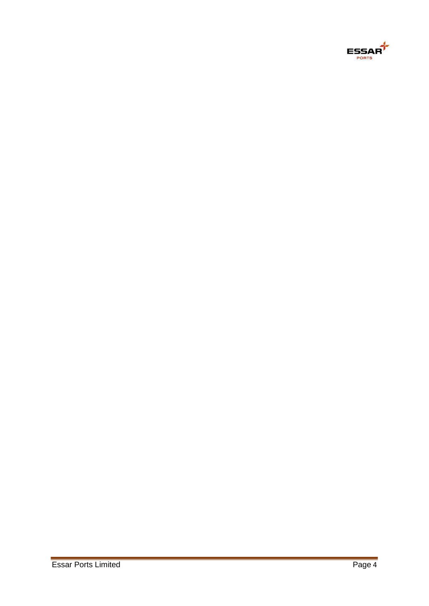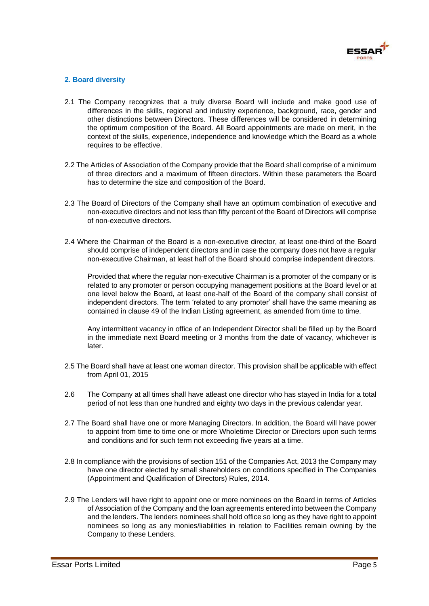

# **2. Board diversity**

- 2.1 The Company recognizes that a truly diverse Board will include and make good use of differences in the skills, regional and industry experience, background, race, gender and other distinctions between Directors. These differences will be considered in determining the optimum composition of the Board. All Board appointments are made on merit, in the context of the skills, experience, independence and knowledge which the Board as a whole requires to be effective.
- 2.2 The Articles of Association of the Company provide that the Board shall comprise of a minimum of three directors and a maximum of fifteen directors. Within these parameters the Board has to determine the size and composition of the Board.
- 2.3 The Board of Directors of the Company shall have an optimum combination of executive and non-executive directors and not less than fifty percent of the Board of Directors will comprise of non-executive directors.
- 2.4 Where the Chairman of the Board is a non-executive director, at least one-third of the Board should comprise of independent directors and in case the company does not have a regular non-executive Chairman, at least half of the Board should comprise independent directors.

Provided that where the regular non-executive Chairman is a promoter of the company or is related to any promoter or person occupying management positions at the Board level or at one level below the Board, at least one-half of the Board of the company shall consist of independent directors. The term 'related to any promoter' shall have the same meaning as contained in clause 49 of the Indian Listing agreement, as amended from time to time.

Any intermittent vacancy in office of an Independent Director shall be filled up by the Board in the immediate next Board meeting or 3 months from the date of vacancy, whichever is later.

- 2.5 The Board shall have at least one woman director. This provision shall be applicable with effect from April 01, 2015
- 2.6 The Company at all times shall have atleast one director who has stayed in India for a total period of not less than one hundred and eighty two days in the previous calendar year.
- 2.7 The Board shall have one or more Managing Directors. In addition, the Board will have power to appoint from time to time one or more Wholetime Director or Directors upon such terms and conditions and for such term not exceeding five years at a time.
- 2.8 In compliance with the provisions of section 151 of the Companies Act, 2013 the Company may have one director elected by small shareholders on conditions specified in The Companies (Appointment and Qualification of Directors) Rules, 2014.
- 2.9 The Lenders will have right to appoint one or more nominees on the Board in terms of Articles of Association of the Company and the loan agreements entered into between the Company and the lenders. The lenders nominees shall hold office so long as they have right to appoint nominees so long as any monies/liabilities in relation to Facilities remain owning by the Company to these Lenders.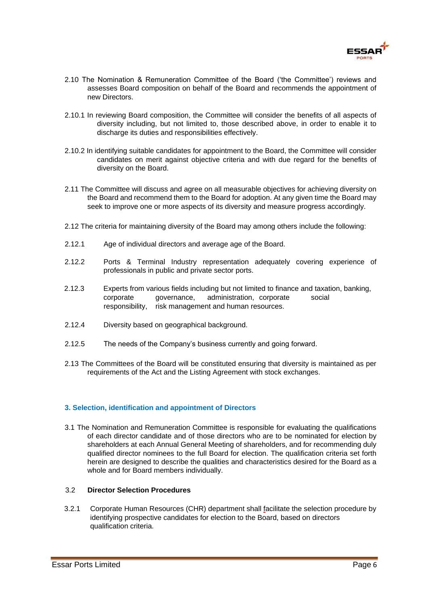

- 2.10 The Nomination & Remuneration Committee of the Board ('the Committee') reviews and assesses Board composition on behalf of the Board and recommends the appointment of new Directors.
- 2.10.1 In reviewing Board composition, the Committee will consider the benefits of all aspects of diversity including, but not limited to, those described above, in order to enable it to discharge its duties and responsibilities effectively.
- 2.10.2 In identifying suitable candidates for appointment to the Board, the Committee will consider candidates on merit against objective criteria and with due regard for the benefits of diversity on the Board.
- 2.11 The Committee will discuss and agree on all measurable objectives for achieving diversity on the Board and recommend them to the Board for adoption. At any given time the Board may seek to improve one or more aspects of its diversity and measure progress accordingly.
- 2.12 The criteria for maintaining diversity of the Board may among others include the following:
- 2.12.1 Age of individual directors and average age of the Board.
- 2.12.2 Ports & Terminal Industry representation adequately covering experience of professionals in public and private sector ports.
- 2.12.3 Experts from various fields including but not limited to finance and taxation, banking, corporate governance, administration, corporate social responsibility, risk management and human resources.
- 2.12.4 Diversity based on geographical background.
- 2.12.5 The needs of the Company's business currently and going forward.
- 2.13 The Committees of the Board will be constituted ensuring that diversity is maintained as per requirements of the Act and the Listing Agreement with stock exchanges.

# **3. Selection, identification and appointment of Directors**

3.1 The Nomination and Remuneration Committee is responsible for evaluating the qualifications of each director candidate and of those directors who are to be nominated for election by shareholders at each Annual General Meeting of shareholders, and for recommending duly qualified director nominees to the full Board for election. The qualification criteria set forth herein are designed to describe the qualities and characteristics desired for the Board as a whole and for Board members individually.

### 3.2 **Director Selection Procedures**

3.2.1 Corporate Human Resources (CHR) department shall facilitate the selection procedure by identifying prospective candidates for election to the Board, based on directors qualification criteria.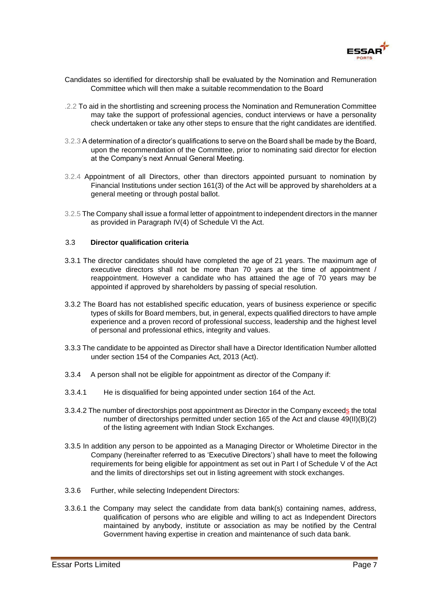

- Candidates so identified for directorship shall be evaluated by the Nomination and Remuneration Committee which will then make a suitable recommendation to the Board
- .2.2 To aid in the shortlisting and screening process the Nomination and Remuneration Committee may take the support of professional agencies, conduct interviews or have a personality check undertaken or take any other steps to ensure that the right candidates are identified.
- 3.2.3 A determination of a director's qualifications to serve on the Board shall be made by the Board, upon the recommendation of the Committee, prior to nominating said director for election at the Company's next Annual General Meeting.
- 3.2.4 Appointment of all Directors, other than directors appointed pursuant to nomination by Financial Institutions under section 161(3) of the Act will be approved by shareholders at a general meeting or through postal ballot.
- 3.2.5 The Company shall issue a formal letter of appointment to independent directors in the manner as provided in Paragraph IV(4) of Schedule VI the Act.

#### 3.3 **Director qualification criteria**

- 3.3.1 The director candidates should have completed the age of 21 years. The maximum age of executive directors shall not be more than 70 years at the time of appointment / reappointment. However a candidate who has attained the age of 70 years may be appointed if approved by shareholders by passing of special resolution.
- 3.3.2 The Board has not established specific education, years of business experience or specific types of skills for Board members, but, in general, expects qualified directors to have ample experience and a proven record of professional success, leadership and the highest level of personal and professional ethics, integrity and values.
- 3.3.3 The candidate to be appointed as Director shall have a Director Identification Number allotted under section 154 of the Companies Act, 2013 (Act).
- 3.3.4 A person shall not be eligible for appointment as director of the Company if:
- 3.3.4.1 He is disqualified for being appointed under section 164 of the Act.
- 3.3.4.2 The number of directorships post appointment as Director in the Company exceeds the total number of directorships permitted under section 165 of the Act and clause 49(II)(B)(2) of the listing agreement with Indian Stock Exchanges.
- 3.3.5 In addition any person to be appointed as a Managing Director or Wholetime Director in the Company (hereinafter referred to as 'Executive Directors') shall have to meet the following requirements for being eligible for appointment as set out in Part I of Schedule V of the Act and the limits of directorships set out in listing agreement with stock exchanges.
- 3.3.6 Further, while selecting Independent Directors:
- 3.3.6.1 the Company may select the candidate from data bank(s) containing names, address, qualification of persons who are eligible and willing to act as Independent Directors maintained by anybody, institute or association as may be notified by the Central Government having expertise in creation and maintenance of such data bank.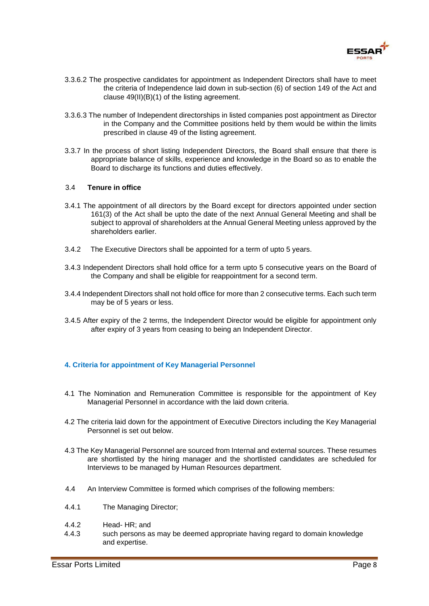

- 3.3.6.2 The prospective candidates for appointment as Independent Directors shall have to meet the criteria of Independence laid down in sub-section (6) of section 149 of the Act and clause 49(II)(B)(1) of the listing agreement.
- 3.3.6.3 The number of Independent directorships in listed companies post appointment as Director in the Company and the Committee positions held by them would be within the limits prescribed in clause 49 of the listing agreement.
- 3.3.7 In the process of short listing Independent Directors, the Board shall ensure that there is appropriate balance of skills, experience and knowledge in the Board so as to enable the Board to discharge its functions and duties effectively.

# 3.4 **Tenure in office**

- 3.4.1 The appointment of all directors by the Board except for directors appointed under section 161(3) of the Act shall be upto the date of the next Annual General Meeting and shall be subject to approval of shareholders at the Annual General Meeting unless approved by the shareholders earlier.
- 3.4.2 The Executive Directors shall be appointed for a term of upto 5 years.
- 3.4.3 Independent Directors shall hold office for a term upto 5 consecutive years on the Board of the Company and shall be eligible for reappointment for a second term.
- 3.4.4 Independent Directors shall not hold office for more than 2 consecutive terms. Each such term may be of 5 years or less.
- 3.4.5 After expiry of the 2 terms, the Independent Director would be eligible for appointment only after expiry of 3 years from ceasing to being an Independent Director.

# **4. Criteria for appointment of Key Managerial Personnel**

- 4.1 The Nomination and Remuneration Committee is responsible for the appointment of Key Managerial Personnel in accordance with the laid down criteria.
- 4.2 The criteria laid down for the appointment of Executive Directors including the Key Managerial Personnel is set out below.
- 4.3 The Key Managerial Personnel are sourced from Internal and external sources. These resumes are shortlisted by the hiring manager and the shortlisted candidates are scheduled for Interviews to be managed by Human Resources department.
- 4.4 An Interview Committee is formed which comprises of the following members:
- 4.4.1 The Managing Director;
- 4.4.2 Head- HR; and
- 4.4.3 such persons as may be deemed appropriate having regard to domain knowledge and expertise.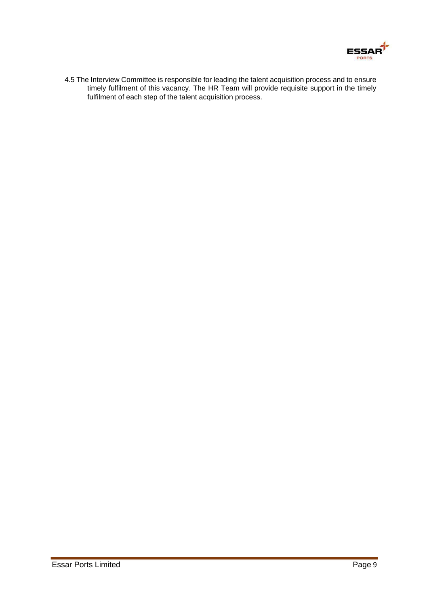

4.5 The Interview Committee is responsible for leading the talent acquisition process and to ensure timely fulfilment of this vacancy. The HR Team will provide requisite support in the timely fulfilment of each step of the talent acquisition process.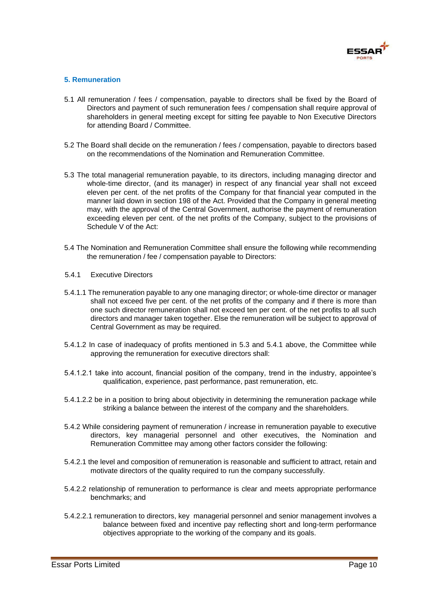

# **5. Remuneration**

- 5.1 All remuneration / fees / compensation, payable to directors shall be fixed by the Board of Directors and payment of such remuneration fees / compensation shall require approval of shareholders in general meeting except for sitting fee payable to Non Executive Directors for attending Board / Committee.
- 5.2 The Board shall decide on the remuneration / fees / compensation, payable to directors based on the recommendations of the Nomination and Remuneration Committee.
- 5.3 The total managerial remuneration payable, to its directors, including managing director and whole-time director, (and its manager) in respect of any financial year shall not exceed eleven per cent. of the net profits of the Company for that financial year computed in the manner laid down in section 198 of the Act. Provided that the Company in general meeting may, with the approval of the Central Government, authorise the payment of remuneration exceeding eleven per cent. of the net profits of the Company, subject to the provisions of Schedule V of the Act:
- 5.4 The Nomination and Remuneration Committee shall ensure the following while recommending the remuneration / fee / compensation payable to Directors:
- 5.4.1 Executive Directors
- 5.4.1.1 The remuneration payable to any one managing director; or whole-time director or manager shall not exceed five per cent. of the net profits of the company and if there is more than one such director remuneration shall not exceed ten per cent. of the net profits to all such directors and manager taken together. Else the remuneration will be subject to approval of Central Government as may be required.
- 5.4.1.2 In case of inadequacy of profits mentioned in 5.3 and 5.4.1 above, the Committee while approving the remuneration for executive directors shall:
- 5.4.1.2.1 take into account, financial position of the company, trend in the industry, appointee's qualification, experience, past performance, past remuneration, etc.
- 5.4.1.2.2 be in a position to bring about objectivity in determining the remuneration package while striking a balance between the interest of the company and the shareholders.
- 5.4.2 While considering payment of remuneration / increase in remuneration payable to executive directors, key managerial personnel and other executives, the Nomination and Remuneration Committee may among other factors consider the following:
- 5.4.2.1 the level and composition of remuneration is reasonable and sufficient to attract, retain and motivate directors of the quality required to run the company successfully.
- 5.4.2.2 relationship of remuneration to performance is clear and meets appropriate performance benchmarks; and
- 5.4.2.2.1 remuneration to directors, key managerial personnel and senior management involves a balance between fixed and incentive pay reflecting short and long-term performance objectives appropriate to the working of the company and its goals.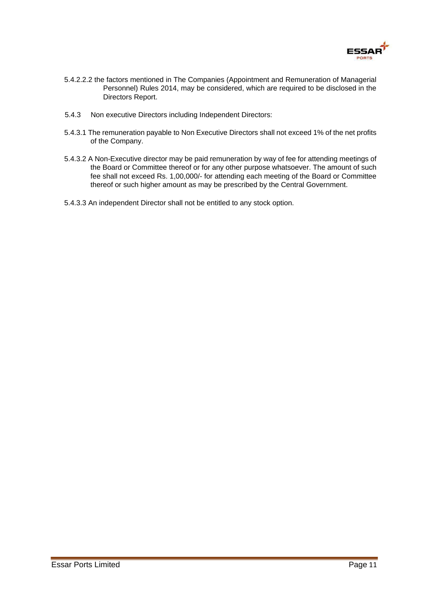

- 5.4.2.2.2 the factors mentioned in The Companies (Appointment and Remuneration of Managerial Personnel) Rules 2014, may be considered, which are required to be disclosed in the Directors Report.
- 5.4.3 Non executive Directors including Independent Directors:
- 5.4.3.1 The remuneration payable to Non Executive Directors shall not exceed 1% of the net profits of the Company.
- 5.4.3.2 A Non-Executive director may be paid remuneration by way of fee for attending meetings of the Board or Committee thereof or for any other purpose whatsoever. The amount of such fee shall not exceed Rs. 1,00,000/- for attending each meeting of the Board or Committee thereof or such higher amount as may be prescribed by the Central Government.
- 5.4.3.3 An independent Director shall not be entitled to any stock option.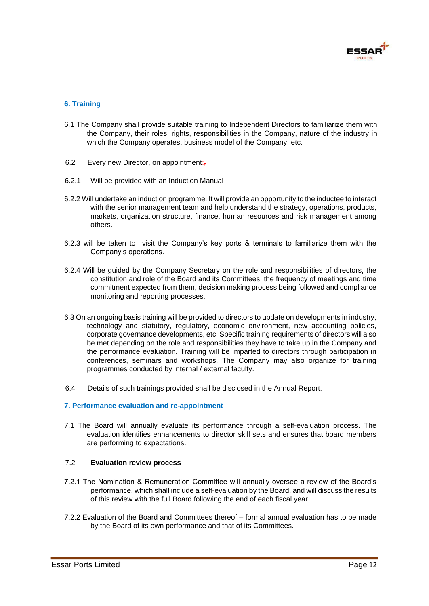

# **6. Training**

- 6.1 The Company shall provide suitable training to Independent Directors to familiarize them with the Company, their roles, rights, responsibilities in the Company, nature of the industry in which the Company operates, business model of the Company, etc.
- 6.2 Every new Director, on appointment: $\frac{1}{x}$
- 6.2.1 Will be provided with an Induction Manual
- 6.2.2 Will undertake an induction programme. It will provide an opportunity to the inductee to interact with the senior management team and help understand the strategy, operations, products, markets, organization structure, finance, human resources and risk management among others.
- 6.2.3 will be taken to visit the Company's key ports & terminals to familiarize them with the Company's operations.
- 6.2.4 Will be guided by the Company Secretary on the role and responsibilities of directors, the constitution and role of the Board and its Committees, the frequency of meetings and time commitment expected from them, decision making process being followed and compliance monitoring and reporting processes.
- 6.3 On an ongoing basis training will be provided to directors to update on developments in industry, technology and statutory, regulatory, economic environment, new accounting policies, corporate governance developments, etc. Specific training requirements of directors will also be met depending on the role and responsibilities they have to take up in the Company and the performance evaluation. Training will be imparted to directors through participation in conferences, seminars and workshops. The Company may also organize for training programmes conducted by internal / external faculty.
- 6.4 Details of such trainings provided shall be disclosed in the Annual Report.

# **7. Performance evaluation and re-appointment**

7.1 The Board will annually evaluate its performance through a self-evaluation process. The evaluation identifies enhancements to director skill sets and ensures that board members are performing to expectations.

# 7.2 **Evaluation review process**

- 7.2.1 The Nomination & Remuneration Committee will annually oversee a review of the Board's performance, which shall include a self-evaluation by the Board, and will discuss the results of this review with the full Board following the end of each fiscal year.
- 7.2.2 Evaluation of the Board and Committees thereof formal annual evaluation has to be made by the Board of its own performance and that of its Committees.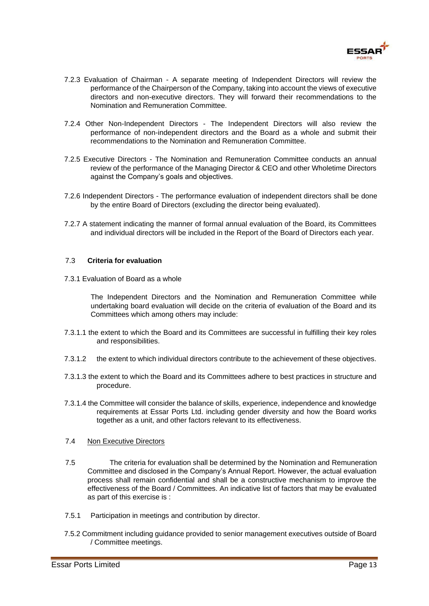

- 7.2.3 Evaluation of Chairman A separate meeting of Independent Directors will review the performance of the Chairperson of the Company, taking into account the views of executive directors and non-executive directors. They will forward their recommendations to the Nomination and Remuneration Committee.
- 7.2.4 Other Non-Independent Directors The Independent Directors will also review the performance of non-independent directors and the Board as a whole and submit their recommendations to the Nomination and Remuneration Committee.
- 7.2.5 Executive Directors The Nomination and Remuneration Committee conducts an annual review of the performance of the Managing Director & CEO and other Wholetime Directors against the Company's goals and objectives.
- 7.2.6 Independent Directors The performance evaluation of independent directors shall be done by the entire Board of Directors (excluding the director being evaluated).
- 7.2.7 A statement indicating the manner of formal annual evaluation of the Board, its Committees and individual directors will be included in the Report of the Board of Directors each year.

# 7.3 **Criteria for evaluation**

7.3.1 Evaluation of Board as a whole

The Independent Directors and the Nomination and Remuneration Committee while undertaking board evaluation will decide on the criteria of evaluation of the Board and its Committees which among others may include:

- 7.3.1.1 the extent to which the Board and its Committees are successful in fulfilling their key roles and responsibilities.
- 7.3.1.2 the extent to which individual directors contribute to the achievement of these objectives.
- 7.3.1.3 the extent to which the Board and its Committees adhere to best practices in structure and procedure.
- 7.3.1.4 the Committee will consider the balance of skills, experience, independence and knowledge requirements at Essar Ports Ltd. including gender diversity and how the Board works together as a unit, and other factors relevant to its effectiveness.

# 7.4 Non Executive Directors

- 7.5 The criteria for evaluation shall be determined by the Nomination and Remuneration Committee and disclosed in the Company's Annual Report. However, the actual evaluation process shall remain confidential and shall be a constructive mechanism to improve the effectiveness of the Board / Committees. An indicative list of factors that may be evaluated as part of this exercise is :
- 7.5.1 Participation in meetings and contribution by director.
- 7.5.2 Commitment including guidance provided to senior management executives outside of Board / Committee meetings.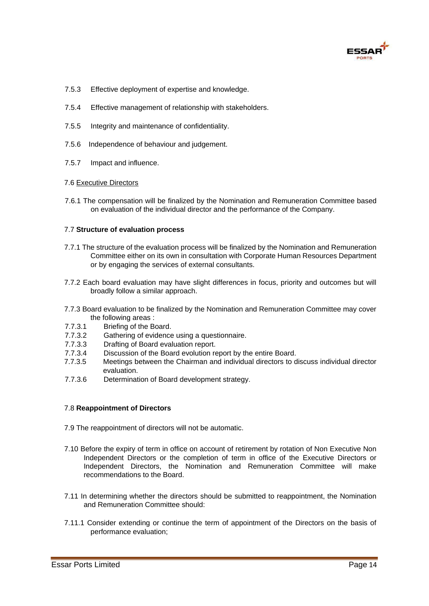

- 7.5.3 Effective deployment of expertise and knowledge.
- 7.5.4 Effective management of relationship with stakeholders.
- 7.5.5 Integrity and maintenance of confidentiality.
- 7.5.6 Independence of behaviour and judgement.
- 7.5.7 Impact and influence.

#### 7.6 Executive Directors

7.6.1 The compensation will be finalized by the Nomination and Remuneration Committee based on evaluation of the individual director and the performance of the Company.

#### 7.7 **Structure of evaluation process**

- 7.7.1 The structure of the evaluation process will be finalized by the Nomination and Remuneration Committee either on its own in consultation with Corporate Human Resources Department or by engaging the services of external consultants.
- 7.7.2 Each board evaluation may have slight differences in focus, priority and outcomes but will broadly follow a similar approach.
- 7.7.3 Board evaluation to be finalized by the Nomination and Remuneration Committee may cover the following areas :
- 7.7.3.1 Briefing of the Board.
- 7.7.3.2 Gathering of evidence using a questionnaire.
- 7.7.3.3 Drafting of Board evaluation report.
- 7.7.3.4 Discussion of the Board evolution report by the entire Board.
- 7.7.3.5 Meetings between the Chairman and individual directors to discuss individual director evaluation.
- 7.7.3.6 Determination of Board development strategy.

# 7.8 **Reappointment of Directors**

- 7.9 The reappointment of directors will not be automatic.
- 7.10 Before the expiry of term in office on account of retirement by rotation of Non Executive Non Independent Directors or the completion of term in office of the Executive Directors or Independent Directors, the Nomination and Remuneration Committee will make recommendations to the Board.
- 7.11 In determining whether the directors should be submitted to reappointment, the Nomination and Remuneration Committee should:
- 7.11.1 Consider extending or continue the term of appointment of the Directors on the basis of performance evaluation;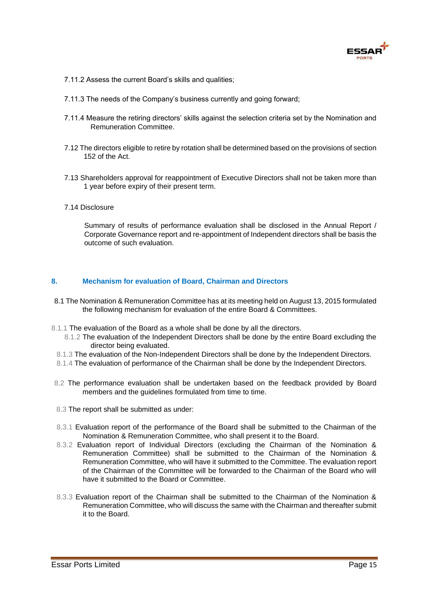

- 7.11.2 Assess the current Board's skills and qualities;
- 7.11.3 The needs of the Company's business currently and going forward;
- 7.11.4 Measure the retiring directors' skills against the selection criteria set by the Nomination and Remuneration Committee.
- 7.12 The directors eligible to retire by rotation shall be determined based on the provisions of section 152 of the Act.
- 7.13 Shareholders approval for reappointment of Executive Directors shall not be taken more than 1 year before expiry of their present term.
- 7.14 Disclosure

Summary of results of performance evaluation shall be disclosed in the Annual Report / Corporate Governance report and re-appointment of Independent directors shall be basis the outcome of such evaluation.

### **8. Mechanism for evaluation of Board, Chairman and Directors**

- 8.1 The Nomination & Remuneration Committee has at its meeting held on August 13, 2015 formulated the following mechanism for evaluation of the entire Board & Committees.
- 8.1.1 The evaluation of the Board as a whole shall be done by all the directors.
	- 8.1.2 The evaluation of the Independent Directors shall be done by the entire Board excluding the director being evaluated.
	- 8.1.3 The evaluation of the Non-Independent Directors shall be done by the Independent Directors.
	- 8.1.4 The evaluation of performance of the Chairman shall be done by the Independent Directors.
- 8.2 The performance evaluation shall be undertaken based on the feedback provided by Board members and the guidelines formulated from time to time.
- 8.3 The report shall be submitted as under:
- 8.3.1 Evaluation report of the performance of the Board shall be submitted to the Chairman of the Nomination & Remuneration Committee, who shall present it to the Board.
- 8.3.2 Evaluation report of Individual Directors (excluding the Chairman of the Nomination & Remuneration Committee) shall be submitted to the Chairman of the Nomination & Remuneration Committee, who will have it submitted to the Committee. The evaluation report of the Chairman of the Committee will be forwarded to the Chairman of the Board who will have it submitted to the Board or Committee.
- 8.3.3 Evaluation report of the Chairman shall be submitted to the Chairman of the Nomination & Remuneration Committee, who will discuss the same with the Chairman and thereafter submit it to the Board.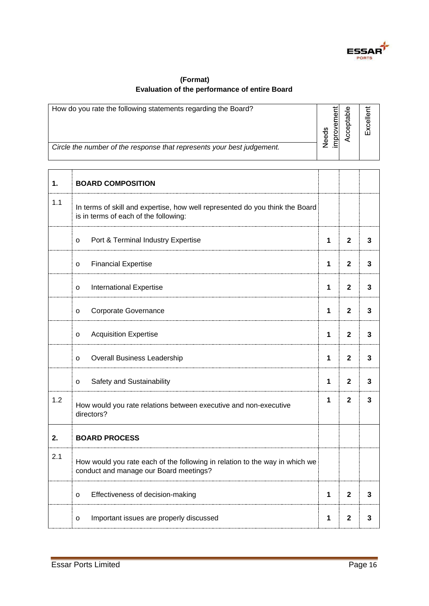

# **(Format) Evaluation of the performance of entire Board**

| How do you rate the following statements regarding the Board?          |  | Excellent |
|------------------------------------------------------------------------|--|-----------|
| Circle the number of the response that represents your best judgement. |  |           |

| 1.  | <b>BOARD COMPOSITION</b>                                                                                              |              |                |              |
|-----|-----------------------------------------------------------------------------------------------------------------------|--------------|----------------|--------------|
| 1.1 | In terms of skill and expertise, how well represented do you think the Board<br>is in terms of each of the following: |              |                |              |
|     | Port & Terminal Industry Expertise<br>o                                                                               | $\mathbf{1}$ | $\mathbf{2}$   | 3            |
|     | <b>Financial Expertise</b><br>0                                                                                       | 1            | $\mathbf 2$    | $\mathbf{3}$ |
|     | <b>International Expertise</b><br>o                                                                                   | 1            | $\mathbf{2}$   | 3            |
|     | Corporate Governance<br>o                                                                                             | 1            | $\mathbf{2}$   | 3            |
|     | <b>Acquisition Expertise</b><br>o                                                                                     | $\mathbf{1}$ | $\mathbf{2}$   | 3            |
|     | <b>Overall Business Leadership</b><br>O                                                                               | $\mathbf 1$  | $\mathbf{2}$   | 3            |
|     | Safety and Sustainability<br>o                                                                                        | 1            | $\mathbf{2}$   | 3            |
| 1.2 | How would you rate relations between executive and non-executive<br>directors?                                        | $\mathbf{1}$ | $\overline{2}$ | 3            |
| 2.  | <b>BOARD PROCESS</b>                                                                                                  |              |                |              |
| 2.1 | How would you rate each of the following in relation to the way in which we<br>conduct and manage our Board meetings? |              |                |              |
|     | Effectiveness of decision-making<br>o                                                                                 | 1            | $\mathbf{2}$   | 3            |
|     | Important issues are properly discussed<br>o                                                                          | 1            | $\mathbf{2}$   | 3            |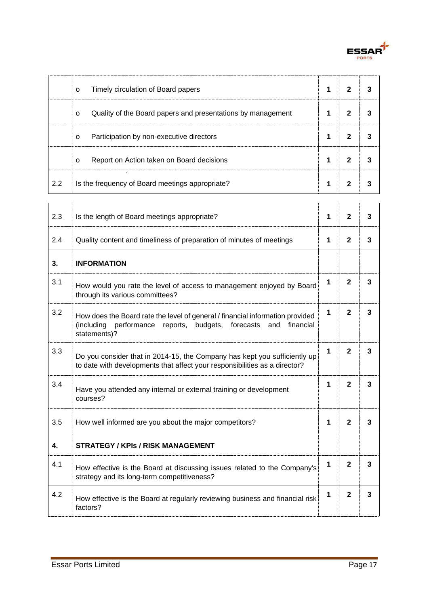

|     | Timely circulation of Board papers<br>$\Omega$                          |  |  |
|-----|-------------------------------------------------------------------------|--|--|
|     | Quality of the Board papers and presentations by management<br>$\Omega$ |  |  |
|     | Participation by non-executive directors<br>$\Omega$                    |  |  |
|     | Report on Action taken on Board decisions<br>$\Omega$                   |  |  |
| 2.2 | Is the frequency of Board meetings appropriate?                         |  |  |

| 2.3 | Is the length of Board meetings appropriate?                                                                                                                         | 1 | $\mathbf{2}$   | 3 |
|-----|----------------------------------------------------------------------------------------------------------------------------------------------------------------------|---|----------------|---|
| 2.4 | Quality content and timeliness of preparation of minutes of meetings                                                                                                 | 1 | $\mathbf{2}$   | 3 |
| 3.  | <b>INFORMATION</b>                                                                                                                                                   |   |                |   |
| 3.1 | How would you rate the level of access to management enjoyed by Board<br>through its various committees?                                                             | 1 | $\mathbf{2}$   | 3 |
| 3.2 | How does the Board rate the level of general / financial information provided<br>(including performance reports, budgets, forecasts<br>and financial<br>statements)? | 1 | $\mathbf{2}$   | 3 |
| 3.3 | Do you consider that in 2014-15, the Company has kept you sufficiently up<br>to date with developments that affect your responsibilities as a director?              | 1 | $\mathbf{2}$   | 3 |
| 3.4 | Have you attended any internal or external training or development<br>courses?                                                                                       | 1 | $\overline{2}$ | 3 |
| 3.5 | How well informed are you about the major competitors?                                                                                                               | 1 | $\mathbf{2}$   | 3 |
| 4.  | <b>STRATEGY / KPIS / RISK MANAGEMENT</b>                                                                                                                             |   |                |   |
| 4.1 | How effective is the Board at discussing issues related to the Company's<br>strategy and its long-term competitiveness?                                              | 1 | $\mathbf{2}$   | 3 |
| 4.2 | How effective is the Board at regularly reviewing business and financial risk<br>factors?                                                                            | 1 | $\mathbf{2}$   | 3 |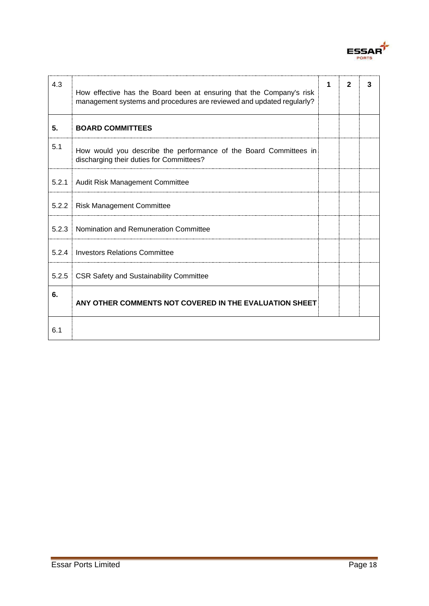

| 4.3   | How effective has the Board been at ensuring that the Company's risk<br>management systems and procedures are reviewed and updated regularly? | 1 | $\mathbf{2}$ |  |
|-------|-----------------------------------------------------------------------------------------------------------------------------------------------|---|--------------|--|
| 5.    | <b>BOARD COMMITTEES</b>                                                                                                                       |   |              |  |
| 5.1   | How would you describe the performance of the Board Committees in<br>discharging their duties for Committees?                                 |   |              |  |
| 5.2.1 | Audit Risk Management Committee                                                                                                               |   |              |  |
| 5.2.2 | <b>Risk Management Committee</b>                                                                                                              |   |              |  |
| 5.2.3 | Nomination and Remuneration Committee                                                                                                         |   |              |  |
| 5.2.4 | <b>Investors Relations Committee</b>                                                                                                          |   |              |  |
| 5.2.5 | <b>CSR Safety and Sustainability Committee</b>                                                                                                |   |              |  |
| 6.    | ANY OTHER COMMENTS NOT COVERED IN THE EVALUATION SHEET                                                                                        |   |              |  |
| 6.1   |                                                                                                                                               |   |              |  |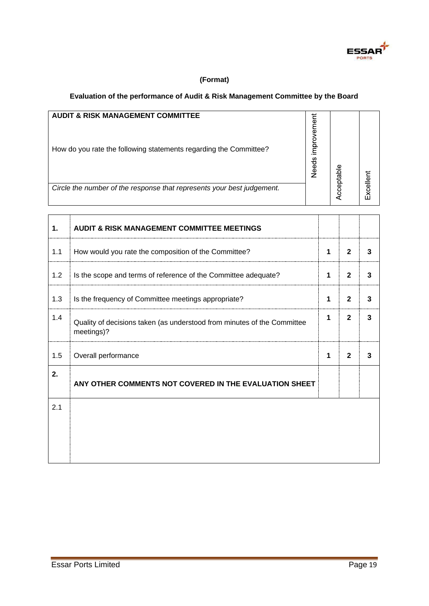

٦

# **(Format)**

# **Evaluation of the performance of Audit & Risk Management Committee by the Board**

| <b>AUDIT &amp; RISK MANAGEMENT COMMITTEE</b><br>How do you rate the following statements regarding the Committee? | ement<br>impro<br>Needs |           |                  |
|-------------------------------------------------------------------------------------------------------------------|-------------------------|-----------|------------------|
| Circle the number of the response that represents your best judgement.                                            |                         | cceptable | <b>Excellent</b> |

| 1.  | <b>AUDIT &amp; RISK MANAGEMENT COMMITTEE MEETINGS</b>                                 |   |                |   |
|-----|---------------------------------------------------------------------------------------|---|----------------|---|
| 1.1 | How would you rate the composition of the Committee?                                  | 1 | $\overline{2}$ | 3 |
| 1.2 | Is the scope and terms of reference of the Committee adequate?                        | 1 | $\mathbf{2}$   | 3 |
| 1.3 | Is the frequency of Committee meetings appropriate?                                   | 1 | $\mathbf{2}$   | 3 |
| 1.4 | Quality of decisions taken (as understood from minutes of the Committee<br>meetings)? | 1 | $\mathbf{2}$   | 3 |
| 1.5 | Overall performance                                                                   | 1 | $\mathbf{2}$   | 3 |
| 2.  | ANY OTHER COMMENTS NOT COVERED IN THE EVALUATION SHEET                                |   |                |   |
| 2.1 |                                                                                       |   |                |   |
|     |                                                                                       |   |                |   |
|     |                                                                                       |   |                |   |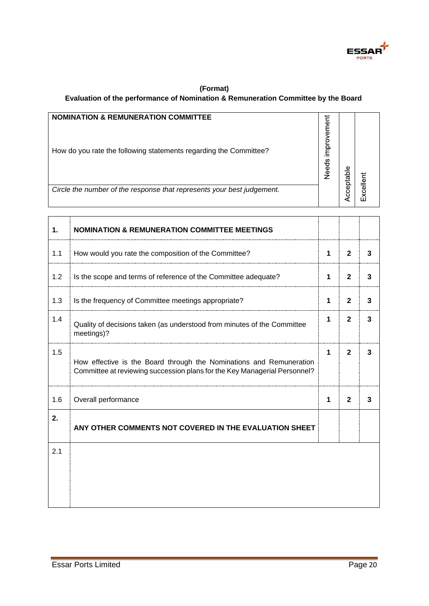

# **(Format) Evaluation of the performance of Nomination & Remuneration Committee by the Board**

| <b>NOMINATION &amp; REMUNERATION COMMITTEE</b>                         |                      |                         |  |
|------------------------------------------------------------------------|----------------------|-------------------------|--|
| How do you rate the following statements regarding the Committee?      | improvement<br>Needs | Φ<br>$\overline{\circ}$ |  |
| Circle the number of the response that represents your best judgement. |                      | cce                     |  |

| 1.  | <b>NOMINATION &amp; REMUNERATION COMMITTEE MEETINGS</b>                                                                                          |   |                |   |
|-----|--------------------------------------------------------------------------------------------------------------------------------------------------|---|----------------|---|
| 1.1 | How would you rate the composition of the Committee?                                                                                             | 1 | $\mathbf{2}$   | 3 |
| 1.2 | Is the scope and terms of reference of the Committee adequate?                                                                                   | 1 | $\mathbf{2}$   | 3 |
| 1.3 | Is the frequency of Committee meetings appropriate?                                                                                              | 1 | $\mathbf{2}$   | 3 |
| 1.4 | Quality of decisions taken (as understood from minutes of the Committee<br>meetings)?                                                            | 1 | $\mathbf{2}$   | 3 |
| 1.5 | How effective is the Board through the Nominations and Remuneration<br>Committee at reviewing succession plans for the Key Managerial Personnel? | 1 | $\overline{2}$ | 3 |
| 1.6 | Overall performance                                                                                                                              | 1 | $\mathbf{2}$   | 3 |
| 2.  | ANY OTHER COMMENTS NOT COVERED IN THE EVALUATION SHEET                                                                                           |   |                |   |
| 2.1 |                                                                                                                                                  |   |                |   |
|     |                                                                                                                                                  |   |                |   |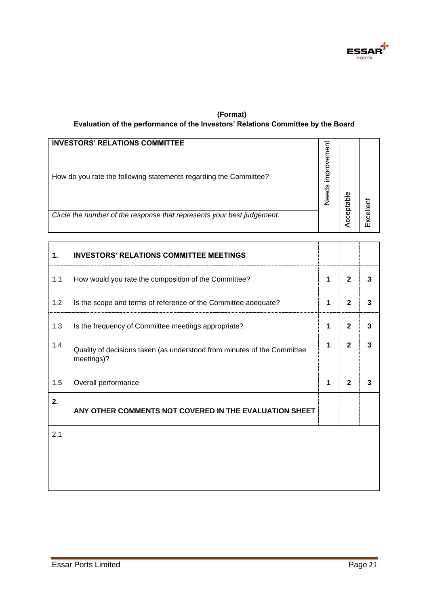

# **(Format) Evaluation of the performance of the Investors' Relations Committee by the Board**

| <b>INVESTORS' RELATIONS COMMITTEE</b>                                  | 5                           |           |     |
|------------------------------------------------------------------------|-----------------------------|-----------|-----|
| How do you rate the following statements regarding the Committee?      | Ĕ<br>mpro<br>ഗ<br>Need<br>N | cceptable |     |
| Circle the number of the response that represents your best judgement. |                             |           | శ్ర |

| 1.  | <b>INVESTORS' RELATIONS COMMITTEE MEETINGS</b>                                        |   |              |   |
|-----|---------------------------------------------------------------------------------------|---|--------------|---|
| 1.1 | How would you rate the composition of the Committee?                                  | 1 | $\mathbf{2}$ | 3 |
| 1.2 | Is the scope and terms of reference of the Committee adequate?                        | 1 | $\mathbf{2}$ | 3 |
| 1.3 | Is the frequency of Committee meetings appropriate?                                   | 1 | $\mathbf{2}$ | 3 |
| 1.4 | Quality of decisions taken (as understood from minutes of the Committee<br>meetings)? | 1 | $\mathbf{2}$ | 3 |
| 1.5 | Overall performance                                                                   | 1 | $\mathbf{2}$ | 3 |
| 2.  | ANY OTHER COMMENTS NOT COVERED IN THE EVALUATION SHEET                                |   |              |   |
| 2.1 |                                                                                       |   |              |   |
|     |                                                                                       |   |              |   |
|     |                                                                                       |   |              |   |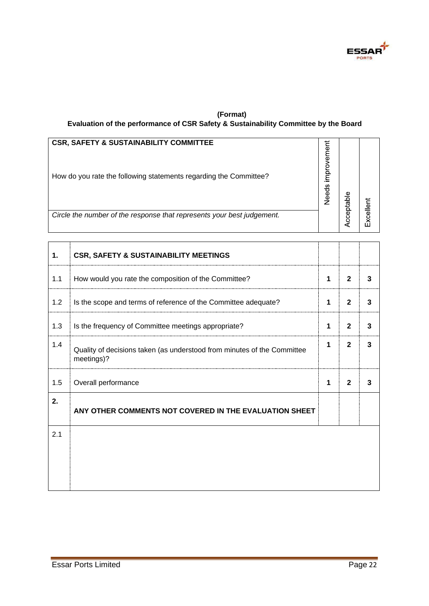

# **(Format) Evaluation of the performance of CSR Safety & Sustainability Committee by the Board**

| <b>CSR, SAFETY &amp; SUSTAINABILITY COMMITTEE</b><br>How do you rate the following statements regarding the Committee? | ement<br>impro   |           |                 |
|------------------------------------------------------------------------------------------------------------------------|------------------|-----------|-----------------|
|                                                                                                                        | ഗ<br><b>Deed</b> | cceptable | <u>Excellen</u> |
| Circle the number of the response that represents your best judgement.                                                 |                  |           |                 |

| 1.  | <b>CSR, SAFETY &amp; SUSTAINABILITY MEETINGS</b>                                      |   |                |   |
|-----|---------------------------------------------------------------------------------------|---|----------------|---|
| 1.1 | How would you rate the composition of the Committee?                                  | 1 | $\overline{2}$ | 3 |
| 1.2 | Is the scope and terms of reference of the Committee adequate?                        | 1 | $\mathbf{2}$   | 3 |
| 1.3 | Is the frequency of Committee meetings appropriate?                                   | 1 | $\overline{2}$ | 3 |
| 1.4 | Quality of decisions taken (as understood from minutes of the Committee<br>meetings)? | 1 | $\mathbf{2}$   | 3 |
| 1.5 | Overall performance                                                                   | 1 | $\mathbf{2}$   | 3 |
| 2.  | ANY OTHER COMMENTS NOT COVERED IN THE EVALUATION SHEET                                |   |                |   |
| 2.1 |                                                                                       |   |                |   |
|     |                                                                                       |   |                |   |
|     |                                                                                       |   |                |   |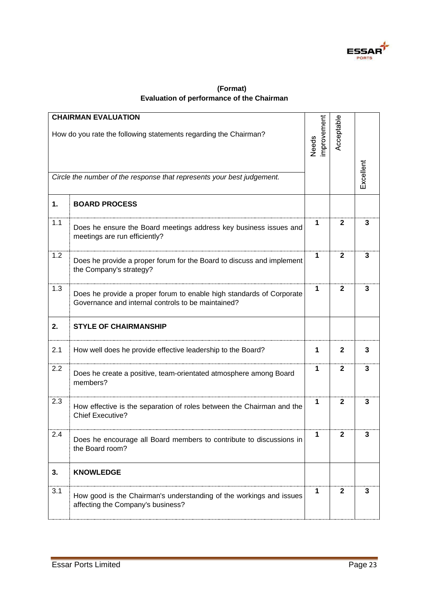

**(Format) Evaluation of performance of the Chairman** 

|     | <b>CHAIRMAN EVALUATION</b><br>How do you rate the following statements regarding the Chairman?                             | mprovement<br>Needs | Acceptable   |           |
|-----|----------------------------------------------------------------------------------------------------------------------------|---------------------|--------------|-----------|
|     | Circle the number of the response that represents your best judgement.                                                     |                     |              | Excellent |
| 1.  | <b>BOARD PROCESS</b>                                                                                                       |                     |              |           |
| 1.1 | Does he ensure the Board meetings address key business issues and<br>meetings are run efficiently?                         | 1                   | $\mathbf{2}$ | 3         |
| 1.2 | Does he provide a proper forum for the Board to discuss and implement<br>the Company's strategy?                           | 1                   | $\mathbf{2}$ | 3         |
| 1.3 | Does he provide a proper forum to enable high standards of Corporate<br>Governance and internal controls to be maintained? | 1                   | $\mathbf{2}$ | 3         |
| 2.  | <b>STYLE OF CHAIRMANSHIP</b>                                                                                               |                     |              |           |
| 2.1 | How well does he provide effective leadership to the Board?                                                                | 1                   | $\mathbf{2}$ | 3         |
| 2.2 | Does he create a positive, team-orientated atmosphere among Board<br>members?                                              | 1                   | $\mathbf{2}$ | 3         |
| 2.3 | How effective is the separation of roles between the Chairman and the<br><b>Chief Executive?</b>                           | 1                   | $\mathbf{2}$ | 3         |
| 2.4 | Does he encourage all Board members to contribute to discussions in<br>the Board room?                                     |                     | 2            |           |
| 3.  | <b>KNOWLEDGE</b>                                                                                                           |                     |              |           |
| 3.1 | How good is the Chairman's understanding of the workings and issues<br>affecting the Company's business?                   | 1                   | $\mathbf{2}$ | 3         |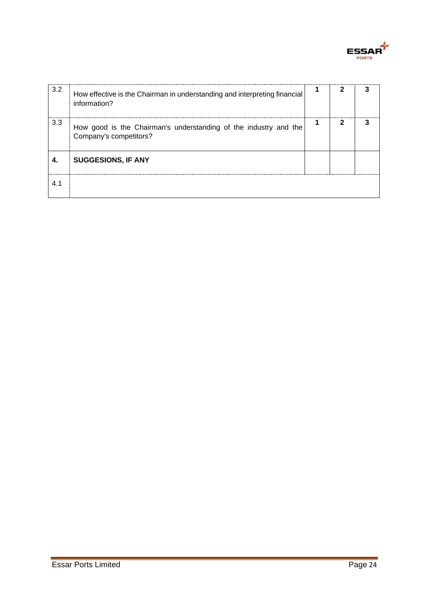

| 3.2 | How effective is the Chairman in understanding and interpreting financial<br>information?  | כי |  |
|-----|--------------------------------------------------------------------------------------------|----|--|
| 3.3 | How good is the Chairman's understanding of the industry and the<br>Company's competitors? | າ  |  |
| 4.  | <b>SUGGESIONS, IF ANY</b>                                                                  |    |  |
| 4.1 |                                                                                            |    |  |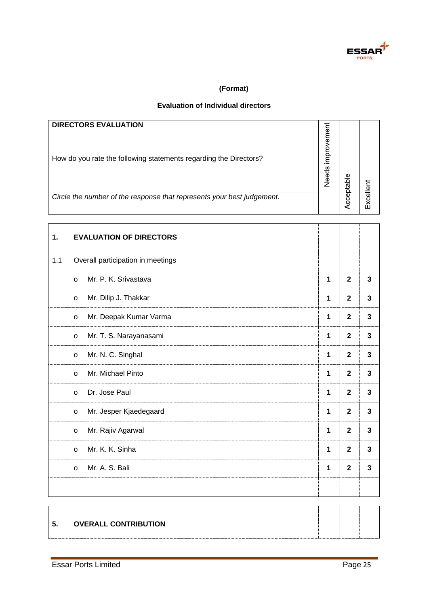

# **(Format)**

# **Evaluation of Individual directors**

| <b>DIRECTORS EVALUATION</b><br>How do you rate the following statements regarding the Directors? | ement<br>impro |               |          |
|--------------------------------------------------------------------------------------------------|----------------|---------------|----------|
| Circle the number of the response that represents your best judgement.                           | <b>Needs</b>   | Φ<br>cceptabl | xcellent |

| 1.  | <b>EVALUATION OF DIRECTORS</b>         |   |                |   |
|-----|----------------------------------------|---|----------------|---|
| 1.1 | Overall participation in meetings      |   |                |   |
|     | Mr. P. K. Srivastava<br>O              | 1 | $\mathbf{2}$   | 3 |
|     | Mr. Dilip J. Thakkar<br>o              | 1 | $\mathbf{2}$   | 3 |
|     | Mr. Deepak Kumar Varma<br>o            | 1 | $\mathbf{2}$   | 3 |
|     | Mr. T. S. Narayanasami<br>$\mathsf{o}$ | 1 | $\overline{2}$ | 3 |
|     | Mr. N. C. Singhal<br>o                 | 1 | $\mathbf{2}$   | 3 |
|     | Mr. Michael Pinto<br>$\mathsf{o}$      | 1 | $\mathbf{2}$   | 3 |
|     | Dr. Jose Paul<br>$\mathsf{o}$          | 1 | $\mathbf{2}$   | 3 |
|     | Mr. Jesper Kjaedegaard<br>o            | 1 | $\overline{2}$ | 3 |
|     | Mr. Rajiv Agarwal<br>$\mathsf{o}$      | 1 | $\mathbf{2}$   | 3 |
|     | Mr. K. K. Sinha<br>$\mathsf{o}$        | 1 | $\overline{2}$ | 3 |
|     | Mr. A. S. Bali<br>o                    | 1 | $\mathbf{2}$   | 3 |
|     |                                        |   |                |   |

| . .<br>J.         | <b>OVERALL CONTRIBUTION</b> |  |  |
|-------------------|-----------------------------|--|--|
| ----------------- |                             |  |  |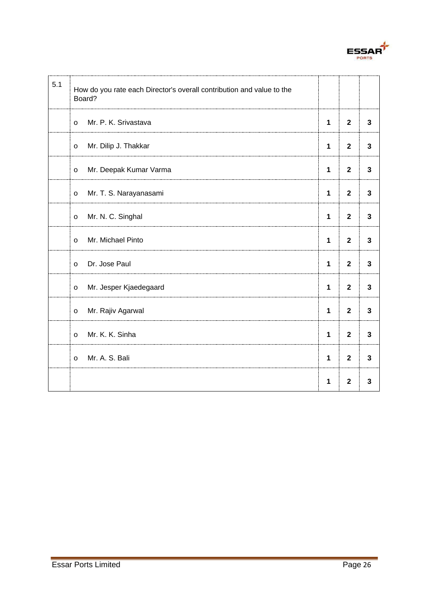

| 5.1 | How do you rate each Director's overall contribution and value to the<br>Board? |              |                         |              |
|-----|---------------------------------------------------------------------------------|--------------|-------------------------|--------------|
|     | Mr. P. K. Srivastava<br>O                                                       | $\mathbf{1}$ | $\mathbf{2}$            | $\mathbf{3}$ |
|     | Mr. Dilip J. Thakkar<br>$\mathsf{o}$                                            | $\mathbf{1}$ | $\overline{2}$          | 3            |
|     | Mr. Deepak Kumar Varma<br>$\mathsf{o}$                                          | $\mathbf{1}$ | $\overline{2}$          | $\mathbf{3}$ |
|     | Mr. T. S. Narayanasami<br>$\mathsf{o}$                                          | $\mathbf{1}$ | $\overline{2}$          | $\mathbf 3$  |
|     | Mr. N. C. Singhal<br>$\mathsf{o}$                                               | $\mathbf{1}$ | $\mathbf{2}$            | 3            |
|     | Mr. Michael Pinto<br>$\mathsf{o}$                                               | $\mathbf{1}$ | $\overline{2}$          | $\mathbf{3}$ |
|     | Dr. Jose Paul<br>$\mathsf{o}$                                                   | $\mathbf{1}$ | $\mathbf{2}$            | 3            |
|     | Mr. Jesper Kjaedegaard<br>$\mathbf O$                                           | $\mathbf{1}$ | $\mathbf{2}$            | $\mathbf{3}$ |
|     | Mr. Rajiv Agarwal<br>$\mathsf{o}$                                               | $\mathbf{1}$ | $\mathbf{2}$            | 3            |
|     | Mr. K. K. Sinha<br>$\Omega$                                                     | $\mathbf{1}$ | $\overline{2}$          | $\mathbf{3}$ |
|     | Mr. A. S. Bali<br>$\mathsf{o}$                                                  | 1            | $\overline{\mathbf{2}}$ | 3            |
|     |                                                                                 | 1            | $\mathbf{2}$            | 3            |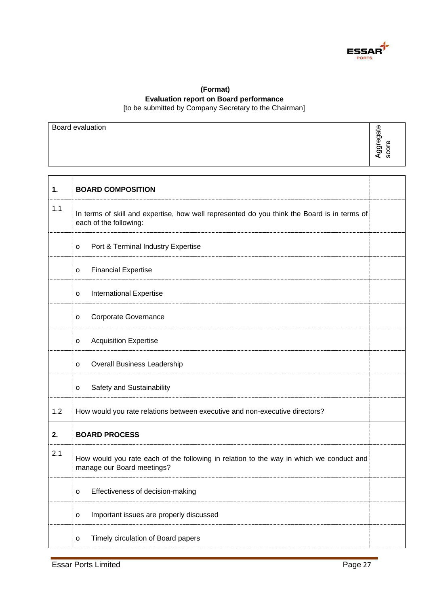

Aggregate<br>score

# **(Format) Evaluation report on Board performance**  [to be submitted by Company Secretary to the Chairman]

Board evaluation

| 1.  | <b>BOARD COMPOSITION</b>                                                                                              |  |
|-----|-----------------------------------------------------------------------------------------------------------------------|--|
| 1.1 | In terms of skill and expertise, how well represented do you think the Board is in terms of<br>each of the following: |  |
|     | Port & Terminal Industry Expertise<br>o                                                                               |  |
|     | <b>Financial Expertise</b><br>0                                                                                       |  |
|     | <b>International Expertise</b><br>0                                                                                   |  |
|     | <b>Corporate Governance</b><br>о                                                                                      |  |
|     | <b>Acquisition Expertise</b><br>0                                                                                     |  |
|     | <b>Overall Business Leadership</b><br>o                                                                               |  |
|     | Safety and Sustainability<br>o                                                                                        |  |
| 1.2 | How would you rate relations between executive and non-executive directors?                                           |  |
| 2.  | <b>BOARD PROCESS</b>                                                                                                  |  |
| 2.1 | How would you rate each of the following in relation to the way in which we conduct and<br>manage our Board meetings? |  |
|     | Effectiveness of decision-making<br>о                                                                                 |  |
|     | Important issues are properly discussed<br>$\mathsf{o}\xspace$                                                        |  |
|     | Timely circulation of Board papers<br>o                                                                               |  |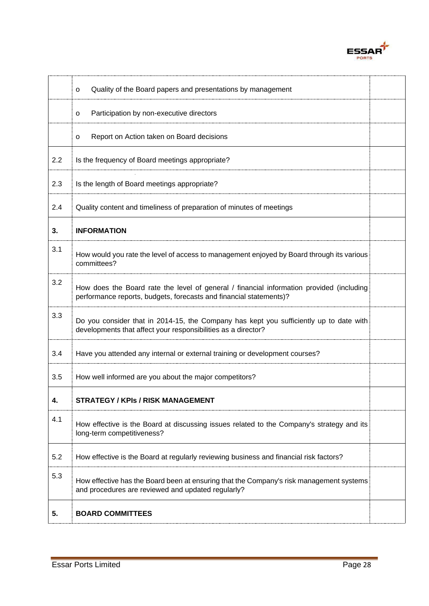

|                  | Quality of the Board papers and presentations by management<br>o                                                                                               |  |
|------------------|----------------------------------------------------------------------------------------------------------------------------------------------------------------|--|
|                  | Participation by non-executive directors<br>o                                                                                                                  |  |
|                  | Report on Action taken on Board decisions<br>o                                                                                                                 |  |
| $2.2\phantom{0}$ | Is the frequency of Board meetings appropriate?                                                                                                                |  |
| 2.3              | Is the length of Board meetings appropriate?                                                                                                                   |  |
| 2.4              | Quality content and timeliness of preparation of minutes of meetings                                                                                           |  |
| 3.               | <b>INFORMATION</b>                                                                                                                                             |  |
| 3.1              | How would you rate the level of access to management enjoyed by Board through its various<br>committees?                                                       |  |
| 3.2              | How does the Board rate the level of general / financial information provided (including<br>performance reports, budgets, forecasts and financial statements)? |  |
| 3.3              | Do you consider that in 2014-15, the Company has kept you sufficiently up to date with<br>developments that affect your responsibilities as a director?        |  |
| 3.4              | Have you attended any internal or external training or development courses?                                                                                    |  |
| 3.5              | How well informed are you about the major competitors?                                                                                                         |  |
| 4.               | STRATEGY / KPIs / RISK MANAGEMENT                                                                                                                              |  |
| 4.1              | How effective is the Board at discussing issues related to the Company's strategy and its<br>long-term competitiveness?                                        |  |
| 5.2              | How effective is the Board at regularly reviewing business and financial risk factors?                                                                         |  |
| 5.3              | How effective has the Board been at ensuring that the Company's risk management systems<br>and procedures are reviewed and updated regularly?                  |  |
| 5.               | <b>BOARD COMMITTEES</b>                                                                                                                                        |  |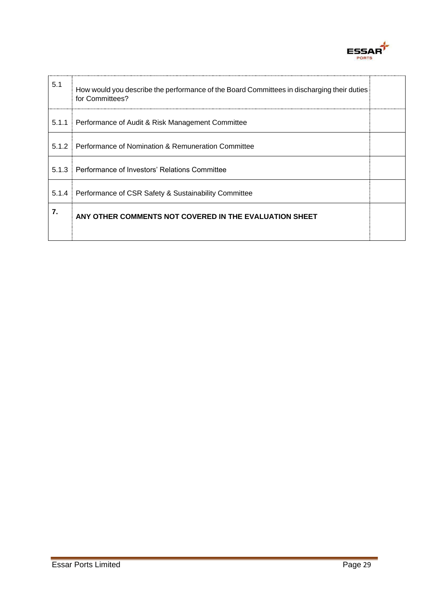

| 5.1   | How would you describe the performance of the Board Committees in discharging their duties<br>for Committees? |  |
|-------|---------------------------------------------------------------------------------------------------------------|--|
| 5.1.1 | Performance of Audit & Risk Management Committee                                                              |  |
| 5.1.2 | Performance of Nomination & Remuneration Committee                                                            |  |
| 5.1.3 | Performance of Investors' Relations Committee                                                                 |  |
| 5.1.4 | Performance of CSR Safety & Sustainability Committee                                                          |  |
| 7.    | ANY OTHER COMMENTS NOT COVERED IN THE EVALUATION SHEET                                                        |  |
|       |                                                                                                               |  |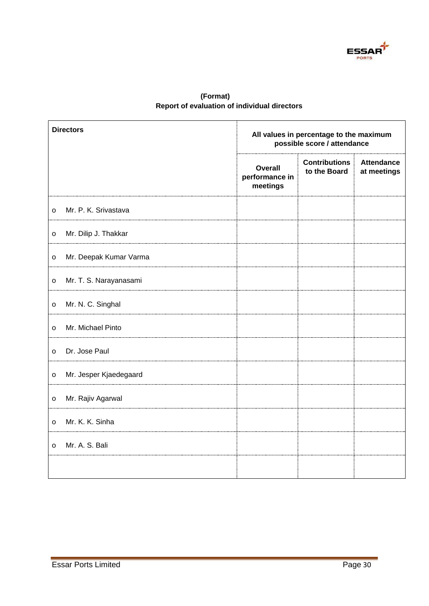

| (Format)                                     |  |  |  |
|----------------------------------------------|--|--|--|
| Report of evaluation of individual directors |  |  |  |

| <b>Directors</b> |                        | All values in percentage to the maximum<br>possible score / attendance |                                      |                                  |  |
|------------------|------------------------|------------------------------------------------------------------------|--------------------------------------|----------------------------------|--|
|                  |                        | <b>Overall</b><br>performance in<br>meetings                           | <b>Contributions</b><br>to the Board | <b>Attendance</b><br>at meetings |  |
| $\mathsf{o}$     | Mr. P. K. Srivastava   |                                                                        |                                      |                                  |  |
| о                | Mr. Dilip J. Thakkar   |                                                                        |                                      |                                  |  |
| o                | Mr. Deepak Kumar Varma |                                                                        |                                      |                                  |  |
| o                | Mr. T. S. Narayanasami |                                                                        |                                      |                                  |  |
| o                | Mr. N. C. Singhal      |                                                                        |                                      |                                  |  |
| o                | Mr. Michael Pinto      |                                                                        |                                      |                                  |  |
| O                | Dr. Jose Paul          |                                                                        |                                      |                                  |  |
| o                | Mr. Jesper Kjaedegaard |                                                                        |                                      |                                  |  |
| o                | Mr. Rajiv Agarwal      |                                                                        |                                      |                                  |  |
| O                | Mr. K. K. Sinha        |                                                                        |                                      |                                  |  |
| O                | Mr. A. S. Bali         |                                                                        |                                      |                                  |  |
|                  |                        |                                                                        |                                      |                                  |  |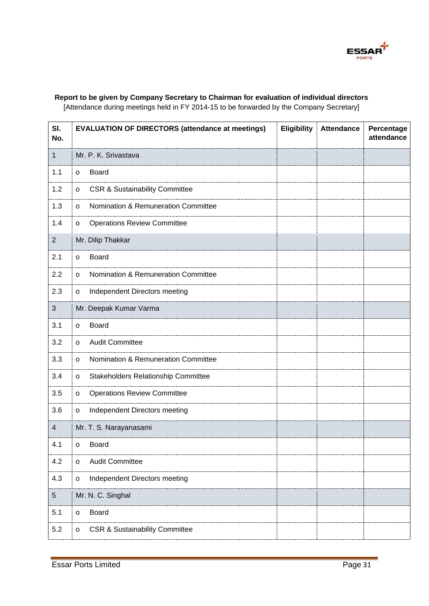

| SI.<br>No.     | <b>EVALUATION OF DIRECTORS (attendance at meetings)</b>   | <b>Eligibility</b> | <b>Attendance</b> | Percentage<br>attendance |
|----------------|-----------------------------------------------------------|--------------------|-------------------|--------------------------|
| 1              | Mr. P. K. Srivastava                                      |                    |                   |                          |
| 1.1            | <b>Board</b><br>$\mathsf{o}$                              |                    |                   |                          |
| 1.2            | <b>CSR &amp; Sustainability Committee</b><br>$\mathsf{o}$ |                    |                   |                          |
| 1.3            | Nomination & Remuneration Committee<br>$\mathsf{o}$       |                    |                   |                          |
| 1.4            | <b>Operations Review Committee</b><br>$\mathsf{o}$        |                    |                   |                          |
| $\overline{2}$ | Mr. Dilip Thakkar                                         |                    |                   |                          |
| 2.1            | Board<br>0                                                |                    |                   |                          |
| 2.2            | Nomination & Remuneration Committee<br>0                  |                    |                   |                          |
| 2.3            | Independent Directors meeting<br>0                        |                    |                   |                          |
| 3              | Mr. Deepak Kumar Varma                                    |                    |                   |                          |
| 3.1            | Board<br>$\mathsf{o}$                                     |                    |                   |                          |
| 3.2            | <b>Audit Committee</b><br>0                               |                    |                   |                          |
| 3.3            | Nomination & Remuneration Committee<br>0                  |                    |                   |                          |
| 3.4            | Stakeholders Relationship Committee<br>$\mathsf{o}$       |                    |                   |                          |
| 3.5            | <b>Operations Review Committee</b><br>o                   |                    |                   |                          |
| 3.6            | Independent Directors meeting<br>$\mathsf{o}$             |                    |                   |                          |
| $\overline{4}$ | Mr. T. S. Narayanasami                                    |                    |                   |                          |
| 4.1            | o Board                                                   |                    |                   |                          |
| 4.2            | <b>Audit Committee</b><br>o                               |                    |                   |                          |
| 4.3            | Independent Directors meeting<br>o                        |                    |                   |                          |
| $\sqrt{5}$     | Mr. N. C. Singhal                                         |                    |                   |                          |
| 5.1            | <b>Board</b><br>o                                         |                    |                   |                          |
| 5.2            | <b>CSR &amp; Sustainability Committee</b><br>о            |                    |                   |                          |

# **Report to be given by Company Secretary to Chairman for evaluation of individual directors**

[Attendance during meetings held in FY 2014-15 to be forwarded by the Company Secretary]